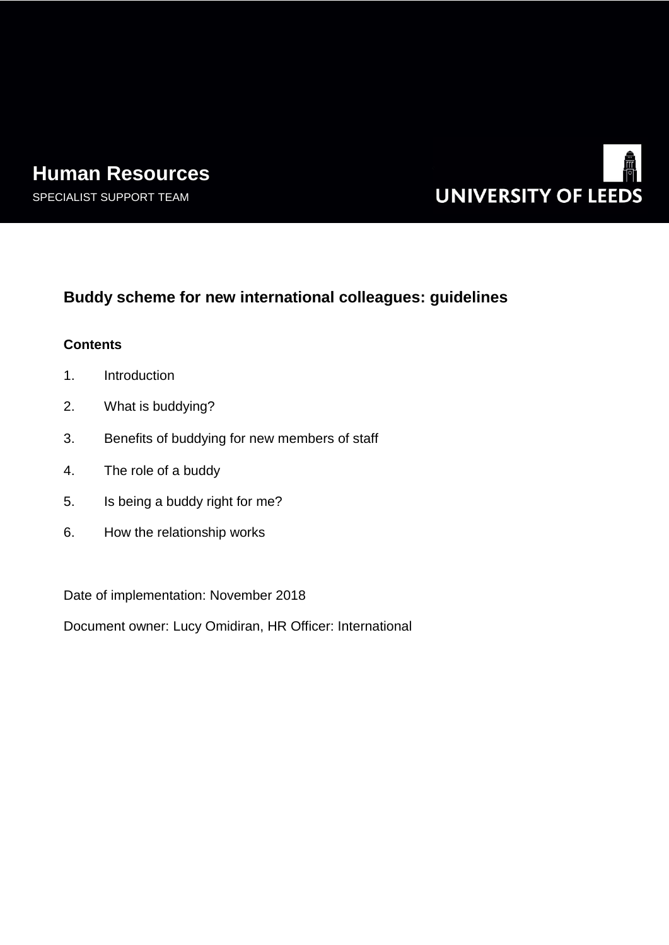# **Human Resources**





## **Buddy scheme for new international colleagues: guidelines**

## **Contents**

- 1. Introduction
- 2. What is buddying?
- 3. Benefits of buddying for new members of staff
- 4. The role of a buddy
- 5. Is being a buddy right for me?
- 6. How the relationship works

Date of implementation: November 2018

Document owner: Lucy Omidiran, HR Officer: International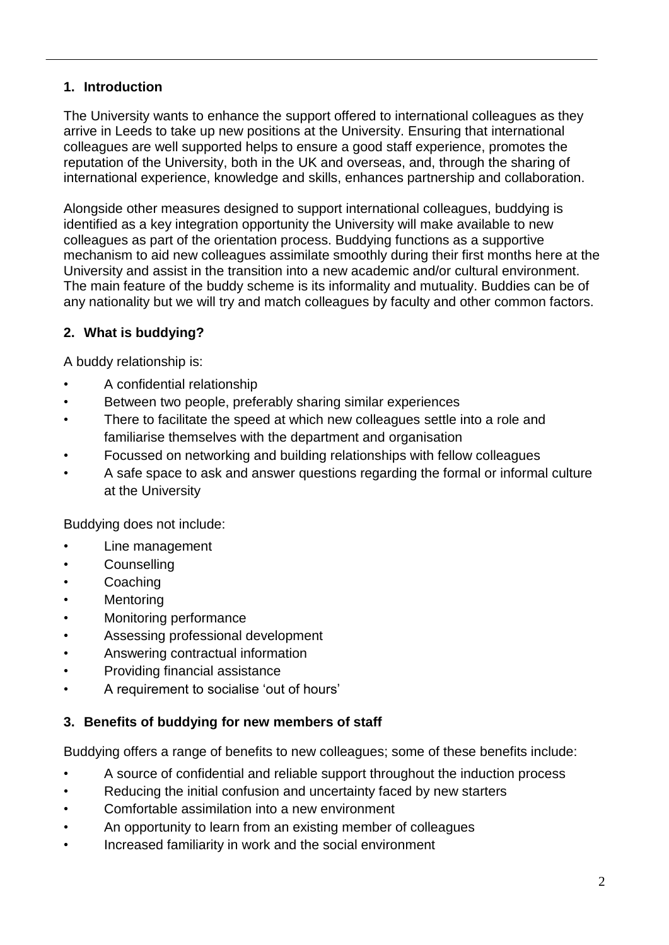## **1. Introduction**

The University wants to enhance the support offered to international colleagues as they arrive in Leeds to take up new positions at the University. Ensuring that international colleagues are well supported helps to ensure a good staff experience, promotes the reputation of the University, both in the UK and overseas, and, through the sharing of international experience, knowledge and skills, enhances partnership and collaboration.

Alongside other measures designed to support international colleagues, buddying is identified as a key integration opportunity the University will make available to new colleagues as part of the orientation process. Buddying functions as a supportive mechanism to aid new colleagues assimilate smoothly during their first months here at the University and assist in the transition into a new academic and/or cultural environment. The main feature of the buddy scheme is its informality and mutuality. Buddies can be of any nationality but we will try and match colleagues by faculty and other common factors.

## **2. What is buddying?**

A buddy relationship is:

- A confidential relationship
- Between two people, preferably sharing similar experiences
- There to facilitate the speed at which new colleagues settle into a role and familiarise themselves with the department and organisation
- Focussed on networking and building relationships with fellow colleagues
- A safe space to ask and answer questions regarding the formal or informal culture at the University

Buddying does not include:

- Line management
- Counselling
- **Coaching**
- **Mentoring**
- Monitoring performance
- Assessing professional development
- Answering contractual information
- Providing financial assistance
- A requirement to socialise 'out of hours'

## **3. Benefits of buddying for new members of staff**

Buddying offers a range of benefits to new colleagues; some of these benefits include:

- A source of confidential and reliable support throughout the induction process
- Reducing the initial confusion and uncertainty faced by new starters
- Comfortable assimilation into a new environment
- An opportunity to learn from an existing member of colleagues
- Increased familiarity in work and the social environment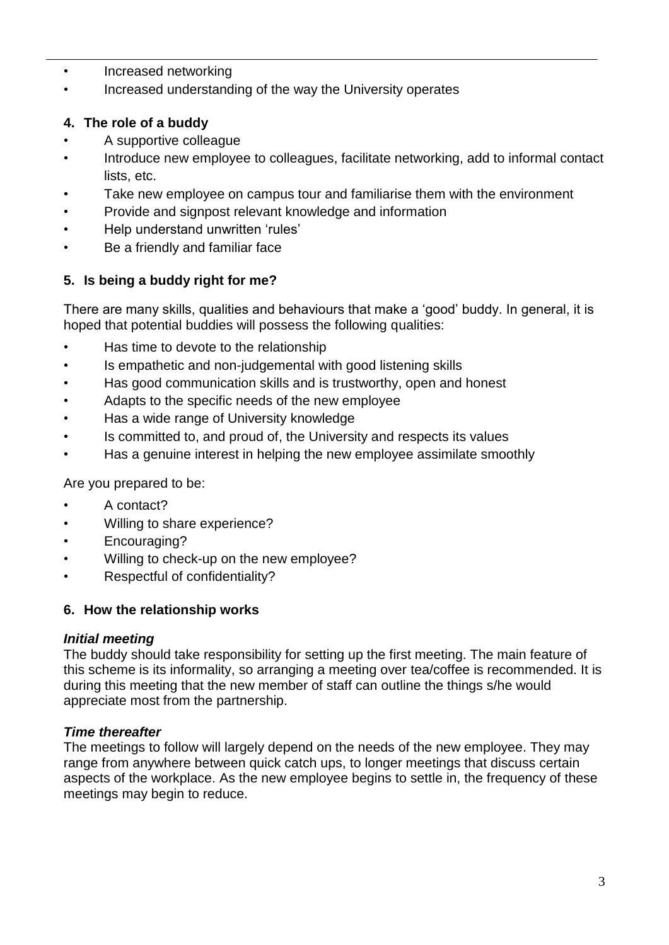- Increased networking
- Increased understanding of the way the University operates

## **4. The role of a buddy**

- A supportive colleague
- Introduce new employee to colleagues, facilitate networking, add to informal contact lists, etc.
- Take new employee on campus tour and familiarise them with the environment
- Provide and signpost relevant knowledge and information
- Help understand unwritten 'rules'
- Be a friendly and familiar face

## **5. Is being a buddy right for me?**

There are many skills, qualities and behaviours that make a 'good' buddy. In general, it is hoped that potential buddies will possess the following qualities:

- Has time to devote to the relationship
- Is empathetic and non-judgemental with good listening skills
- Has good communication skills and is trustworthy, open and honest
- Adapts to the specific needs of the new employee
- Has a wide range of University knowledge
- Is committed to, and proud of, the University and respects its values
- Has a genuine interest in helping the new employee assimilate smoothly

Are you prepared to be:

- A contact?
- Willing to share experience?
- Encouraging?
- Willing to check-up on the new employee?
- Respectful of confidentiality?

## **6. How the relationship works**

## *Initial meeting*

The buddy should take responsibility for setting up the first meeting. The main feature of this scheme is its informality, so arranging a meeting over tea/coffee is recommended. It is during this meeting that the new member of staff can outline the things s/he would appreciate most from the partnership.

## *Time thereafter*

The meetings to follow will largely depend on the needs of the new employee. They may range from anywhere between quick catch ups, to longer meetings that discuss certain aspects of the workplace. As the new employee begins to settle in, the frequency of these meetings may begin to reduce.